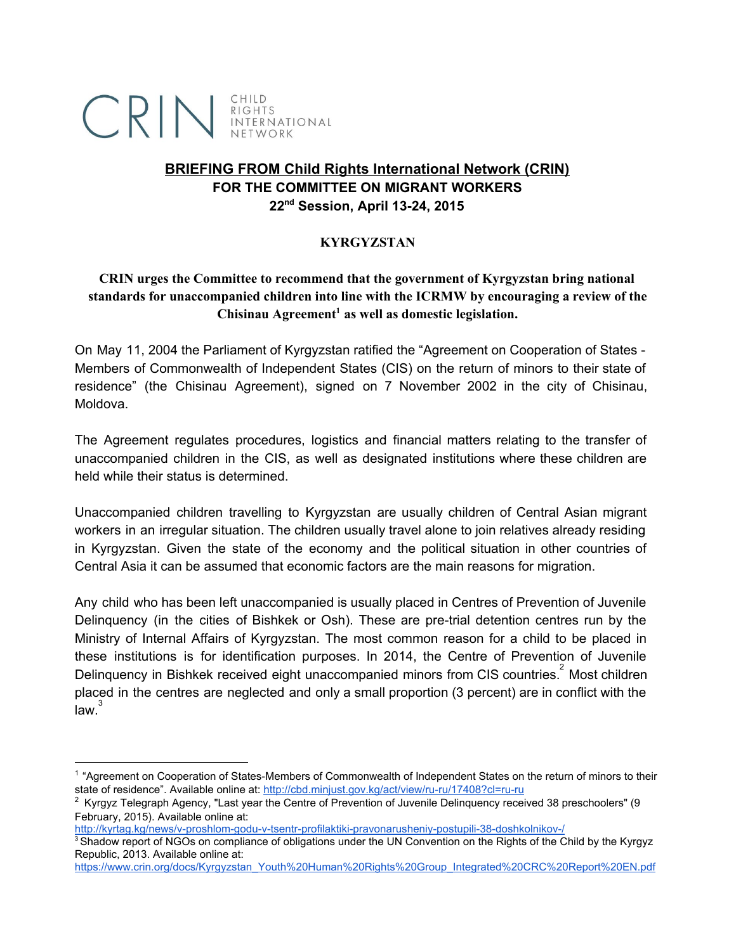

# **BRIEFING FROM Child Rights International Network (CRIN) FOR THE COMMITTEE ON MIGRANT WORKERS 22ndSession, April 1324, 2015**

### **KYRGYZSTAN**

## **CRIN urges the Committee to recommend that the government of Kyrgyzstan bring national standards for unaccompanied children into line with the ICRMW by encouraging a review of the** Chisinau Agreement<sup>1</sup> as well as domestic legislation.

On May 11, 2004 the Parliament of Kyrgyzstan ratified the "Agreement on Cooperation of States Members of Commonwealth of Independent States (CIS) on the return of minors to their state of residence" (the Chisinau Agreement), signed on 7 November 2002 in the city of Chisinau, Moldova.

The Agreement regulates procedures, logistics and financial matters relating to the transfer of unaccompanied children in the CIS, as well as designated institutions where these children are held while their status is determined.

Unaccompanied children travelling to Kyrgyzstan are usually children of Central Asian migrant workers in an irregular situation. The children usually travel alone to join relatives already residing in Kyrgyzstan. Given the state of the economy and the political situation in other countries of Central Asia it can be assumed that economic factors are the main reasons for migration.

Any child who has been left unaccompanied is usually placed in Centres of Prevention of Juvenile Delinquency (in the cities of Bishkek or Osh). These are pre-trial detention centres run by the Ministry of Internal Affairs of Kyrgyzstan. The most common reason for a child to be placed in these institutions is for identification purposes. In 2014, the Centre of Prevention of Juvenile Delinquency in Bishkek received eight unaccompanied minors from CIS countries. $2$  Most children placed in the centres are neglected and only a small proportion (3 percent) are in conflict with the .<br>law.<sup>3</sup>

<sup>&</sup>lt;sup>1</sup> "Agreement on Cooperation of States-Members of Commonwealth of Independent States on the return of minors to their state of residence". Available online at: http://cbd.minjust.gov.kg/act/view/ru-ru/17408?cl=ru-ru

<sup>&</sup>lt;sup>2</sup> Kyrgyz Telegraph Agency, "Last year the Centre of Prevention of Juvenile Delinquency received 38 preschoolers" (9 February, 2015). Available online at:

http://kyrtag.kg/news/v-proshlom-godu-v-tsentr-profilaktiki-pravonarusheniy-postupili-38-doshkolnikov-/

<sup>&</sup>lt;sup>3</sup> Shadow report of NGOs on compliance of obligations under the UN Convention on the Rights of the Child by the Kyrgyz Republic, 2013. Available online at:

[https://www.crin.org/docs/Kyrgyzstan\\_Youth%20Human%20Rights%20Group\\_Integrated%20CRC%20Report%20EN.pdf](https://www.crin.org/docs/Kyrgyzstan_Youth%20Human%20Rights%20Group_Integrated%20CRC%20Report%20EN.pdf)